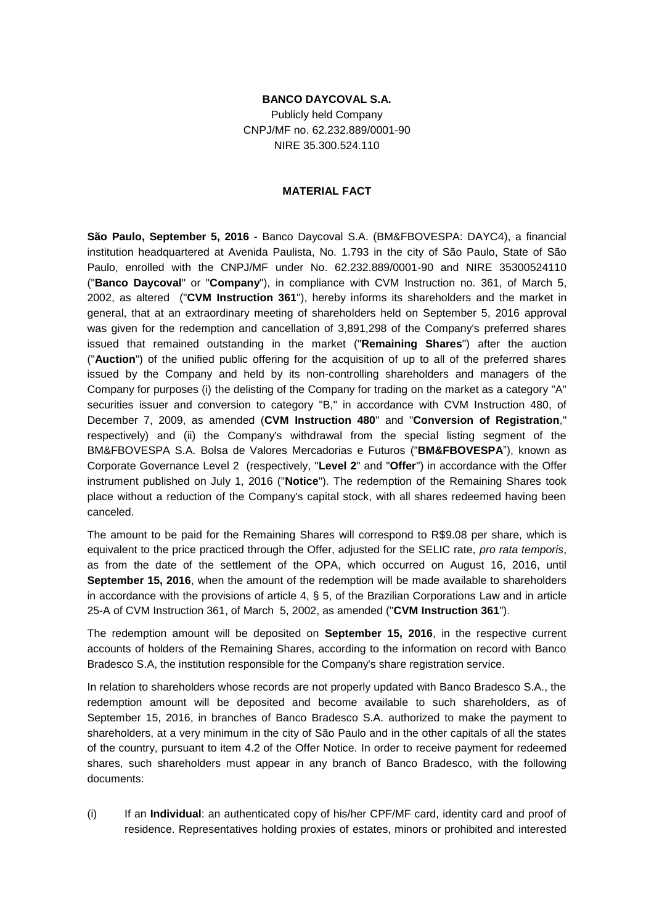## **BANCO DAYCOVAL S.A.**

Publicly held Company CNPJ/MF no. 62.232.889/0001-90 NIRE 35.300.524.110

## **MATERIAL FACT**

**São Paulo, September 5, 2016** - Banco Daycoval S.A. (BM&FBOVESPA: DAYC4), a financial institution headquartered at Avenida Paulista, No. 1.793 in the city of São Paulo, State of São Paulo, enrolled with the CNPJ/MF under No. 62.232.889/0001-90 and NIRE 35300524110 ("**Banco Daycoval**" or "**Company**"), in compliance with CVM Instruction no. 361, of March 5, 2002, as altered ("**CVM Instruction 361**"), hereby informs its shareholders and the market in general, that at an extraordinary meeting of shareholders held on September 5, 2016 approval was given for the redemption and cancellation of 3,891,298 of the Company's preferred shares issued that remained outstanding in the market ("**Remaining Shares**") after the auction ("**Auction**") of the unified public offering for the acquisition of up to all of the preferred shares issued by the Company and held by its non-controlling shareholders and managers of the Company for purposes (i) the delisting of the Company for trading on the market as a category "A" securities issuer and conversion to category "B," in accordance with CVM Instruction 480, of December 7, 2009, as amended (**CVM Instruction 480**" and "**Conversion of Registration**," respectively) and (ii) the Company's withdrawal from the special listing segment of the BM&FBOVESPA S.A. Bolsa de Valores Mercadorias e Futuros ("**BM&FBOVESPA**"), known as Corporate Governance Level 2 (respectively, "**Level 2**" and "**Offer**") in accordance with the Offer instrument published on July 1, 2016 ("**Notice**"). The redemption of the Remaining Shares took place without a reduction of the Company's capital stock, with all shares redeemed having been canceled.

The amount to be paid for the Remaining Shares will correspond to R\$9.08 per share, which is equivalent to the price practiced through the Offer, adjusted for the SELIC rate, *pro rata temporis*, as from the date of the settlement of the OPA, which occurred on August 16, 2016, until **September 15, 2016**, when the amount of the redemption will be made available to shareholders in accordance with the provisions of article 4, § 5, of the Brazilian Corporations Law and in article 25-A of CVM Instruction 361, of March 5, 2002, as amended ("**CVM Instruction 361**").

The redemption amount will be deposited on **September 15, 2016**, in the respective current accounts of holders of the Remaining Shares, according to the information on record with Banco Bradesco S.A, the institution responsible for the Company's share registration service.

In relation to shareholders whose records are not properly updated with Banco Bradesco S.A., the redemption amount will be deposited and become available to such shareholders, as of September 15, 2016, in branches of Banco Bradesco S.A. authorized to make the payment to shareholders, at a very minimum in the city of São Paulo and in the other capitals of all the states of the country, pursuant to item 4.2 of the Offer Notice. In order to receive payment for redeemed shares, such shareholders must appear in any branch of Banco Bradesco, with the following documents:

(i) If an **Individual**: an authenticated copy of his/her CPF/MF card, identity card and proof of residence. Representatives holding proxies of estates, minors or prohibited and interested